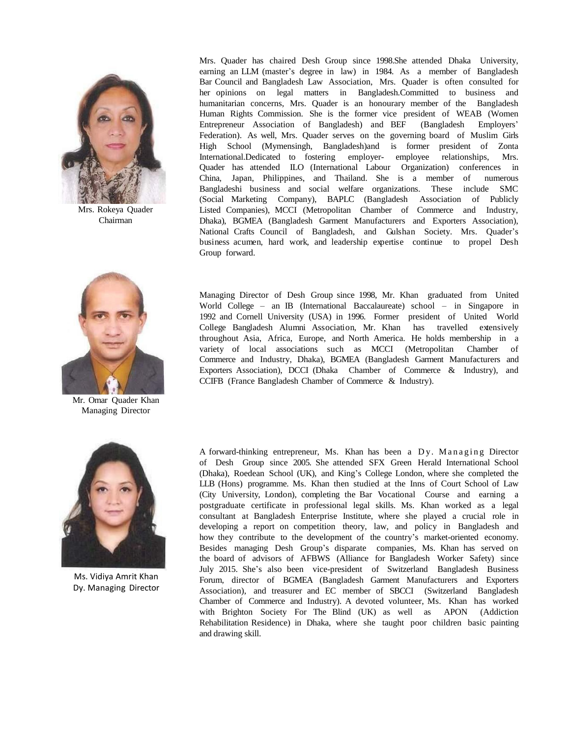

Mrs. Rokeya Quader Chairman



Mr. Omar Quader Khan Managing Director

Mrs. Quader has chaired Desh Group since 1998.She attended Dhaka University, earning an LLM (master's degree in law) in 1984. As a member of Bangladesh Bar Council and Bangladesh Law Association, Mrs. Quader is often consulted for her opinions on legal matters in Bangladesh.Committed to business and humanitarian concerns, Mrs. Quader is an honourary member of the Bangladesh Human Rights Commission. She is the former vice president of WEAB (Women Entrepreneur Association of Bangladesh) and BEF (Bangladesh Employers' Federation). As well, Mrs. Quader serves on the governing board of Muslim Girls High School (Mymensingh, Bangladesh)and is former president of Zonta International.Dedicated to fostering employer- employee relationships, Mrs. Quader has attended ILO (International Labour Organization) conferences in China, Japan, Philippines, and Thailand. She is a member of numerous Bangladeshi business and social welfare organizations. These include SMC (Social Marketing Company), BAPLC (Bangladesh Association of Publicly Listed Companies), MCCI (Metropolitan Chamber of Commerce and Industry, Dhaka), BGMEA (Bangladesh Garment Manufacturers and Exporters Association), National Crafts Council of Bangladesh, and Gulshan Society. Mrs. Quader's business acumen, hard work, and leadership expertise continue to propel Desh Group forward.

Managing Director of Desh Group since 1998, Mr. Khan graduated from United World College – an IB (International Baccalaureate) school – in Singapore in 1992 and Cornell University (USA) in 1996. Former president of United World College Bangladesh Alumni Association, Mr. Khan has travelled extensively throughout Asia, Africa, Europe, and North America. He holds membership in a variety of local associations such as MCCI (Metropolitan Chamber of Commerce and Industry, Dhaka), BGMEA (Bangladesh Garment Manufacturers and Exporters Association), DCCI (Dhaka Chamber of Commerce & Industry), and CCIFB (France Bangladesh Chamber of Commerce & Industry).



Ms. Vidiya Amrit Khan Dy. Managing Director

A forward-thinking entrepreneur, Ms. Khan has been a  $D_y$ . Managing Director of Desh Group since 2005. She attended SFX Green Herald International School (Dhaka), Roedean School (UK), and King's College London, where she completed the LLB (Hons) programme. Ms. Khan then studied at the Inns of Court School of Law (City University, London), completing the Bar Vocational Course and earning a postgraduate certificate in professional legal skills. Ms. Khan worked as a legal consultant at Bangladesh Enterprise Institute, where she played a crucial role in developing a report on competition theory, law, and policy in Bangladesh and how they contribute to the development of the country's market-oriented economy. Besides managing Desh Group's disparate companies, Ms. Khan has served on the board of advisors of AFBWS (Alliance for Bangladesh Worker Safety) since July 2015. She's also been vice-president of Switzerland Bangladesh Business Forum, director of BGMEA (Bangladesh Garment Manufacturers and Exporters Association), and treasurer and EC member of SBCCI (Switzerland Bangladesh Chamber of Commerce and Industry). A devoted volunteer, Ms. Khan has worked with Brighton Society For The Blind (UK) as well as APON (Addiction Rehabilitation Residence) in Dhaka, where she taught poor children basic painting and drawing skill.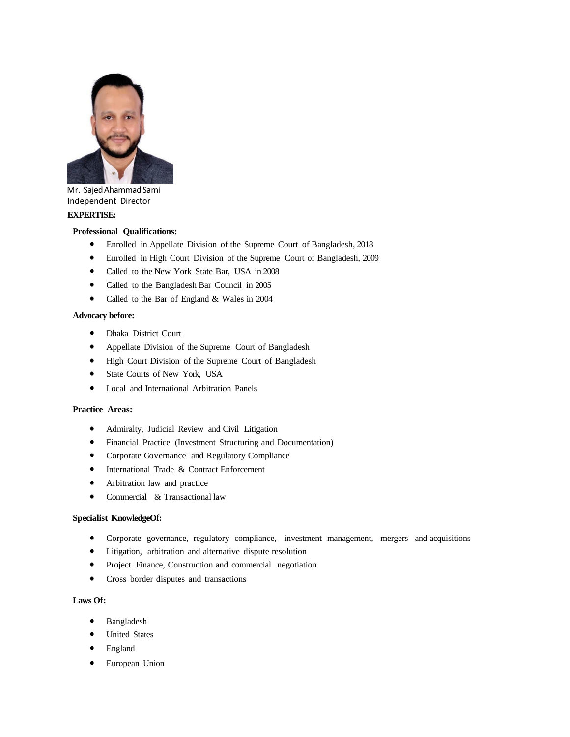

Mr. Sajed Ahammad Sami Independent Director **EXPERTISE:**

#### **Professional Qualifications:**

- Enrolled in Appellate Division of the Supreme Court of Bangladesh, 2018
- Enrolled in High Court Division of the Supreme Court of Bangladesh, 2009
- Called to the New York State Bar, USA in 2008
- Called to the Bangladesh Bar Council in 2005
- Called to the Bar of England & Wales in 2004

#### **Advocacy before:**

- Dhaka District Court
- Appellate Division of the Supreme Court of Bangladesh
- High Court Division of the Supreme Court of Bangladesh
- State Courts of New York, USA
- Local and International Arbitration Panels

## **Practice Areas:**

- Admiralty, Judicial Review and Civil Litigation
- Financial Practice (Investment Structuring and Documentation)
- Corporate Governance and Regulatory Compliance
- **•** International Trade & Contract Enforcement
- Arbitration law and practice
- Commercial & Transactional law

# **Specialist KnowledgeOf:**

- Corporate governance, regulatory compliance, investment management, mergers and acquisitions
- Litigation, arbitration and alternative dispute resolution
- Project Finance, Construction and commercial negotiation
- Cross border disputes and transactions

## **Laws Of:**

- Bangladesh
- United States
- England
- European Union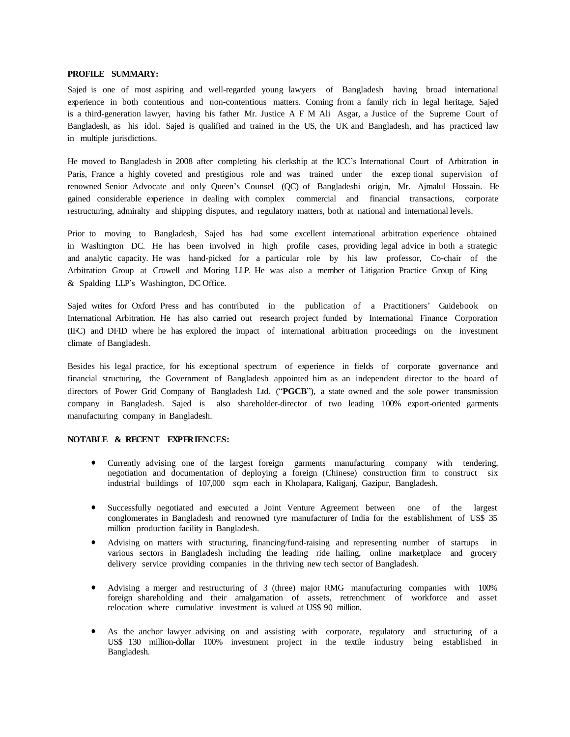#### **PROFILE SUMMARY:**

Sajed is one of most aspiring and well-regarded young lawyers of Bangladesh having broad international experience in both contentious and non-contentious matters. Coming from a family rich in legal heritage, Sajed is a third-generation lawyer, having his father Mr. Justice A F M Ali Asgar, a Justice of the Supreme Court of Bangladesh, as his idol. Sajed is qualified and trained in the US, the UK and Bangladesh, and has practiced law in multiple jurisdictions.

He moved to Bangladesh in 2008 after completing his clerkship at the ICC's International Court of Arbitration in Paris, France a highly coveted and prestigious role and was trained under the excep tional supervision of renowned Senior Advocate and only Queen's Counsel (QC) of Bangladeshi origin, Mr. Ajmalul Hossain. He gained considerable experience in dealing with complex commercial and financial transactions, corporate restructuring, admiralty and shipping disputes, and regulatory matters, both at national and international levels.

Prior to moving to Bangladesh, Sajed has had some excellent international arbitration experience obtained in Washington DC. He has been involved in high profile cases, providing legal advice in both a strategic and analytic capacity. He was hand-picked for a particular role by his law professor, Co-chair of the Arbitration Group at Crowell and Moring LLP. He was also a member of Litigation Practice Group of King & Spalding LLP's Washington, DC Office.

Sajed writes for Oxford Press and has contributed in the publication of a Practitioners' Guidebook on International Arbitration. He has also carried out research project funded by International Finance Corporation (IFC) and DFID where he has explored the impact of international arbitration proceedings on the investment climate of Bangladesh.

Besides his legal practice, for his exceptional spectrum of experience in fields of corporate governance and financial structuring, the Government of Bangladesh appointed him as an independent director to the board of directors of Power Grid Company of Bangladesh Ltd. ("**PGCB**"), a state owned and the sole power transmission company in Bangladesh. Sajed is also shareholder-director of two leading 100% export-oriented garments manufacturing company in Bangladesh.

#### **NOTABLE & RECENT EXPERIENCES:**

- Currently advising one of the largest foreign garments manufacturing company with tendering, negotiation and documentation of deploying a foreign (Chinese) construction firm to construct six industrial buildings of 107,000 sqm each in Kholapara, Kaliganj, Gazipur, Bangladesh.
- Successfully negotiated and executed a Joint Venture Agreement between one of the largest conglomerates in Bangladesh and renowned tyre manufacturer of India for the establishment of US\$ 35 million production facility in Bangladesh.
- Advising on matters with structuring, financing/fund-raising and representing number of startups in various sectors in Bangladesh including the leading ride hailing, online marketplace and grocery delivery service providing companies in the thriving new tech sector of Bangladesh.
- Advising a merger and restructuring of 3 (three) major RMG manufacturing companies with 100% foreign shareholding and their amalgamation of assets, retrenchment of workforce and asset relocation where cumulative investment is valued at US\$ 90 million.
- As the anchor lawyer advising on and assisting with corporate, regulatory and structuring of a US\$ 130 million-dollar 100% investment project in the textile industry being established in Bangladesh.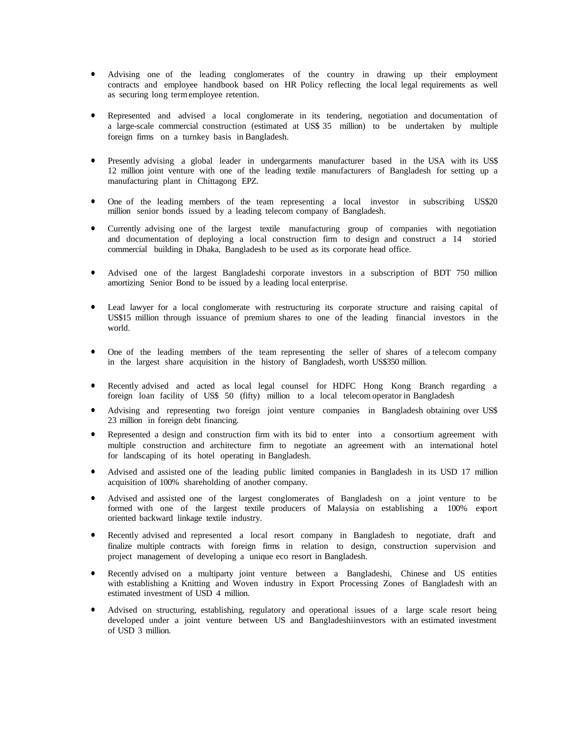- Advising one of the leading conglomerates of the country in drawing up their employment contracts and employee handbook based on HR Policy reflecting the local legal requirements as well as securing long termemployee retention.
- Represented and advised a local conglomerate in its tendering, negotiation and documentation of a large-scale commercial construction (estimated at US\$ 35 million) to be undertaken by multiple foreign firms on a turnkey basis in Bangladesh.
- Presently advising a global leader in undergarments manufacturer based in the USA with its US\$ 12 million joint venture with one of the leading textile manufacturers of Bangladesh for setting up a manufacturing plant in Chittagong EPZ.
- One of the leading members of the team representing a local investor in subscribing US\$20 million senior bonds issued by a leading telecom company of Bangladesh.
- Currently advising one of the largest textile manufacturing group of companies with negotiation and documentation of deploying a local construction firm to design and construct a 14 storied commercial building in Dhaka, Bangladesh to be used as its corporate head office.
- Advised one of the largest Bangladeshi corporate investors in a subscription of BDT 750 million amortizing Senior Bond to be issued by a leading local enterprise.
- Lead lawyer for a local conglomerate with restructuring its corporate structure and raising capital of US\$15 million through issuance of premium shares to one of the leading financial investors in the world.
- One of the leading members of the team representing the seller of shares of a telecom company in the largest share acquisition in the history of Bangladesh, worth US\$350 million.
- Recently advised and acted as local legal counsel for HDFC Hong Kong Branch regarding a foreign loan facility of US\$ 50 (fifty) million to a local telecom operator in Bangladesh
- Advising and representing two foreign joint venture companies in Bangladesh obtaining over US\$ 23 million in foreign debt financing.
- Represented a design and construction firm with its bid to enter into a consortium agreement with multiple construction and architecture firm to negotiate an agreement with an international hotel for landscaping of its hotel operating in Bangladesh.
- Advised and assisted one of the leading public limited companies in Bangladesh in its USD 17 million acquisition of 100% shareholding of another company.
- Advised and assisted one of the largest conglomerates of Bangladesh on a joint venture to be formed with one of the largest textile producers of Malaysia on establishing a 100% export oriented backward linkage textile industry.
- Recently advised and represented a local resort company in Bangladesh to negotiate, draft and finalize multiple contracts with foreign firms in relation to design, construction supervision and project management of developing a unique eco resort in Bangladesh.
- Recently advised on a multiparty joint venture between a Bangladeshi, Chinese and US entities with establishing a Knitting and Woven industry in Export Processing Zones of Bangladesh with an estimated investment of USD 4 million.
- Advised on structuring, establishing, regulatory and operational issues of a large scale resort being developed under a joint venture between US and Bangladeshiinvestors with an estimated investment of USD 3 million.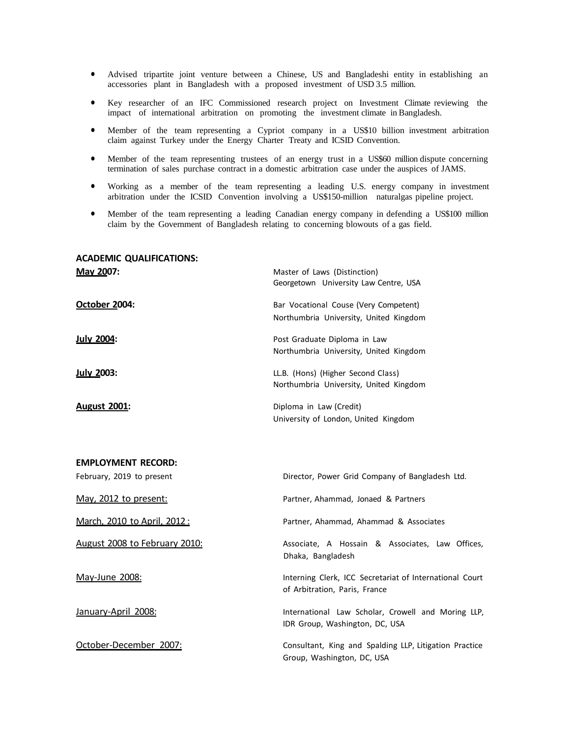- Advised tripartite joint venture between a Chinese, US and Bangladeshi entity in establishing an accessories plant in Bangladesh with a proposed investment of USD 3.5 million.
- Key researcher of an IFC Commissioned research project on Investment Climate reviewing the impact of international arbitration on promoting the investment climate in Bangladesh.
- Member of the team representing a Cypriot company in a US\$10 billion investment arbitration claim against Turkey under the Energy Charter Treaty and ICSID Convention.
- Member of the team representing trustees of an energy trust in a US\$60 million dispute concerning termination of sales purchase contract in a domestic arbitration case under the auspices of JAMS.
- Working as a member of the team representing a leading U.S. energy company in investment arbitration under the ICSID Convention involving a US\$150-million naturalgas pipeline project.
- Member of the team representing a leading Canadian energy company in defending a US\$100 million claim by the Government of Bangladesh relating to concerning blowouts of a gas field.

## **ACADEMIC QUALIFICATIONS:**

| May 2007:           | Master of Laws (Distinction)<br>Georgetown University Law Centre, USA           |
|---------------------|---------------------------------------------------------------------------------|
| October 2004:       | Bar Vocational Couse (Very Competent)<br>Northumbria University, United Kingdom |
| <b>July 2004:</b>   | Post Graduate Diploma in Law<br>Northumbria University, United Kingdom          |
| <b>July 2003:</b>   | LL.B. (Hons) (Higher Second Class)<br>Northumbria University, United Kingdom    |
| <b>August 2001:</b> | Diploma in Law (Credit)<br>University of London, United Kingdom                 |

| <b>EMPLOYMENT RECORD:</b>     |                                                                                          |
|-------------------------------|------------------------------------------------------------------------------------------|
| February, 2019 to present     | Director, Power Grid Company of Bangladesh Ltd.                                          |
| May, 2012 to present:         | Partner, Ahammad, Jonaed & Partners                                                      |
| March, 2010 to April, 2012:   | Partner, Ahammad, Ahammad & Associates                                                   |
| August 2008 to February 2010: | Associate, A Hossain & Associates, Law Offices,<br>Dhaka, Bangladesh                     |
| May-June 2008:                | Interning Clerk, ICC Secretariat of International Court<br>of Arbitration, Paris, France |
| January-April 2008:           | International Law Scholar, Crowell and Moring LLP,<br>IDR Group, Washington, DC, USA     |
| October-December 2007:        | Consultant, King and Spalding LLP, Litigation Practice<br>Group, Washington, DC, USA     |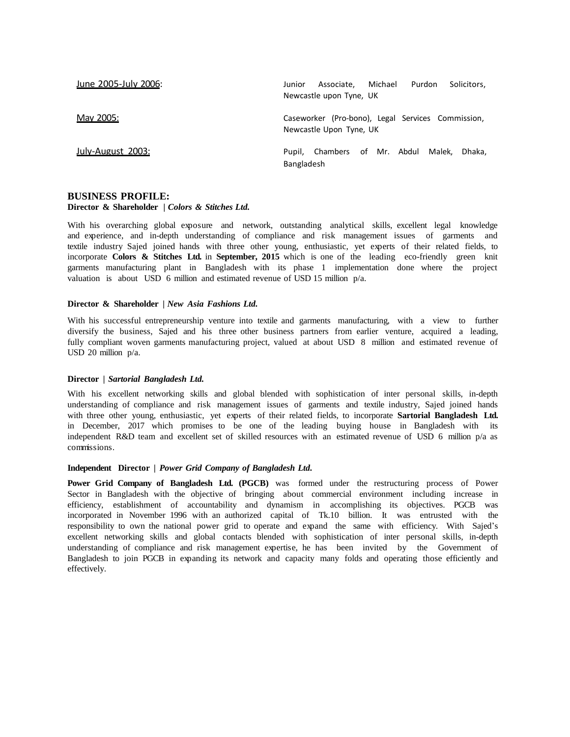| June 2005-July 2006: | Associate. Michael<br>Purdon<br>Solicitors.<br>Junior<br>Newcastle upon Tyne, UK |
|----------------------|----------------------------------------------------------------------------------|
| May 2005:            | Caseworker (Pro-bono), Legal Services Commission,<br>Newcastle Upon Tyne, UK     |
| July-August 2003:    | Pupil, Chambers of Mr. Abdul<br>Malek. Dhaka.<br>Bangladesh                      |

#### **BUSINESS PROFILE:**

#### **Director & Shareholder** *| Colors & Stitches Ltd.*

With his overarching global exposure and network, outstanding analytical skills, excellent legal knowledge and experience, and in-depth understanding of compliance and risk management issues of garments and textile industry Sajed joined hands with three other young, enthusiastic, yet experts of their related fields, to incorporate **Colors & Stitches Ltd.** in **September, 2015** which is one of the leading eco-friendly green knit garments manufacturing plant in Bangladesh with its phase 1 implementation done where the project valuation is about USD 6 million and estimated revenue of USD 15 million p/a.

#### **Director & Shareholder** *| New Asia Fashions Ltd.*

With his successful entrepreneurship venture into textile and garments manufacturing, with a view to further diversify the business, Sajed and his three other business partners from earlier venture, acquired a leading, fully compliant woven garments manufacturing project, valued at about USD 8 million and estimated revenue of USD 20 million p/a.

### **Director** *| Sartorial Bangladesh Ltd.*

With his excellent networking skills and global blended with sophistication of inter personal skills, in-depth understanding of compliance and risk management issues of garments and textile industry, Sajed joined hands with three other young, enthusiastic, yet experts of their related fields, to incorporate **Sartorial Bangladesh Ltd.** in December, 2017 which promises to be one of the leading buying house in Bangladesh with its independent R&D team and excellent set of skilled resources with an estimated revenue of USD 6 million p/a as commissions.

#### **Independent Director** *| Power Grid Company of Bangladesh Ltd.*

**Power Grid Company of Bangladesh Ltd. (PGCB)** was formed under the restructuring process of Power Sector in Bangladesh with the objective of bringing about commercial environment including increase in efficiency, establishment of accountability and dynamism in accomplishing its objectives. PGCB was incorporated in November 1996 with an authorized capital of Tk.10 billion. It was entrusted with the responsibility to own the national power grid to operate and expand the same with efficiency. With Sajed's excellent networking skills and global contacts blended with sophistication of inter personal skills, in-depth understanding of compliance and risk management expertise, he has been invited by the Government of Bangladesh to join PGCB in expanding its network and capacity many folds and operating those efficiently and effectively.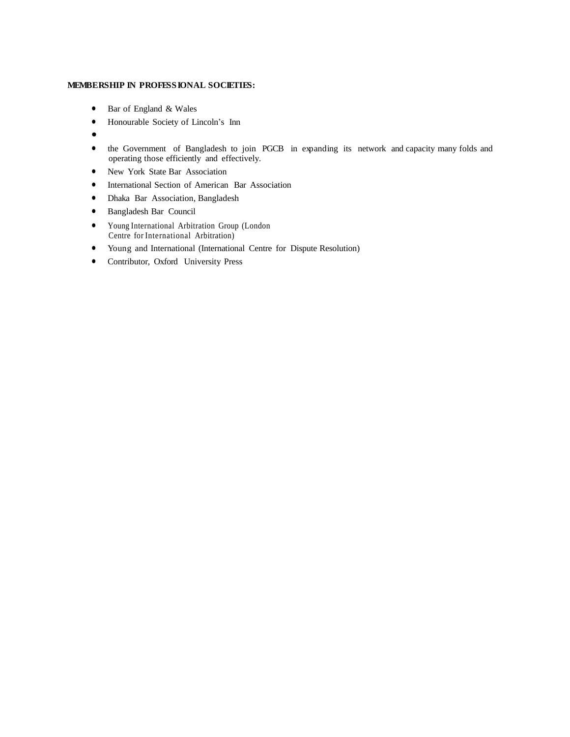#### **MEMBERSHIP IN PROFESSIONAL SOCIETIES:**

- Bar of England & Wales
- Honourable Society of Lincoln's Inn
- $\bullet$
- the Government of Bangladesh to join PGCB in expanding its network and capacity many folds and operating those efficiently and effectively.
- New York State Bar Association
- International Section of American Bar Association
- Dhaka Bar Association, Bangladesh
- Bangladesh Bar Council
- Young International Arbitration Group (London Centre for International Arbitration)
- Young and International (International Centre for Dispute Resolution)
- Contributor, Oxford University Press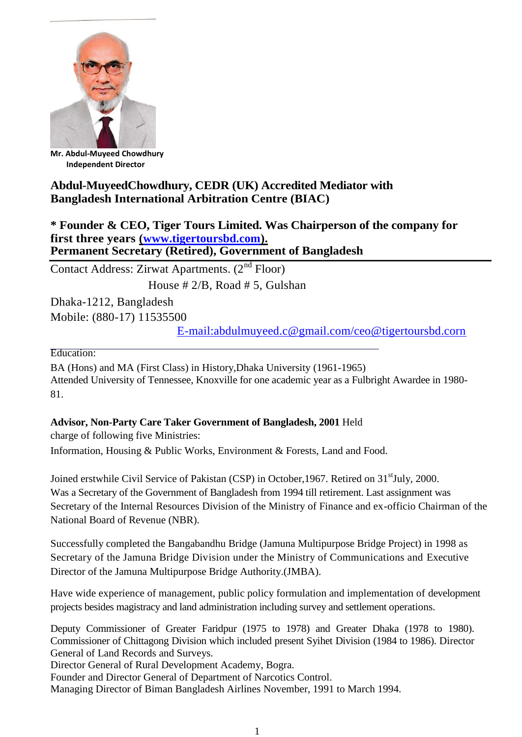

**Mr. Abdul-Muyeed Chowdhury Independent Director**

# **Abdul-MuyeedChowdhury, CEDR (UK) Accredited Mediator with Bangladesh International Arbitration Centre (BIAC)**

**\* Founder & CEO, Tiger Tours Limited. Was Chairperson of the company for first three years [\(www.tigertoursbd.com\)](http://www.tigertoursbd.com/). Permanent Secretary (Retired), Government of Bangladesh**

Contact Address: Zirwat Apartments. (2nd Floor) House # 2/B, Road # 5, Gulshan

Dhaka-1212, Bangladesh Mobile: (880-17) 11535500

[E-mail:abdulmuyeed.c@gmail.com/ceo@tigertoursbd.corn](mailto:abdulmuyeed.c@gmail.com/ceo@tigertoursbd.corn)

Education:

BA (Hons) and MA (First Class) in History,Dhaka University (1961-1965) Attended University of Tennessee, Knoxville for one academic year as a Fulbright Awardee in 1980- 81.

**Advisor, Non-Party Care Taker Government of Bangladesh, 2001** Held

charge of following five Ministries: Information, Housing & Public Works, Environment & Forests, Land and Food.

Joined erstwhile Civil Service of Pakistan (CSP) in October, 1967. Retired on 31<sup>st</sup>July, 2000. Was a Secretary of the Government of Bangladesh from 1994 till retirement. Last assignment was Secretary of the Internal Resources Division of the Ministry of Finance and ex-officio Chairman of the National Board of Revenue (NBR).

Successfully completed the Bangabandhu Bridge (Jamuna Multipurpose Bridge Project) in 1998 as Secretary of the Jamuna Bridge Division under the Ministry of Communications and Executive Director of the Jamuna Multipurpose Bridge Authority.(JMBA).

Have wide experience of management, public policy formulation and implementation of development projects besides magistracy and land administration including survey and settlement operations.

Deputy Commissioner of Greater Faridpur (1975 to 1978) and Greater Dhaka (1978 to 1980). Commissioner of Chittagong Division which included present Syihet Division (1984 to 1986). Director General of Land Records and Surveys.

Director General of Rural Development Academy, Bogra.

Founder and Director General of Department of Narcotics Control.

Managing Director of Biman Bangladesh Airlines November, 1991 to March 1994.